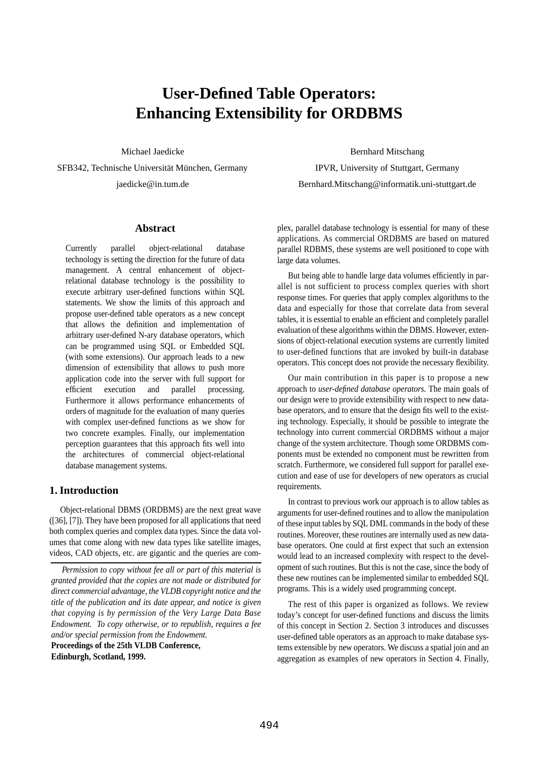# **User-Defined Table Operators: Enhancing Extensibility for ORDBMS**

Michael Jaedicke

SFB342, Technische Universität München, Germany jaedicke@in.tum.de

# **Abstract**

Currently parallel object-relational database technology is setting the direction for the future of data management. A central enhancement of objectrelational database technology is the possibility to execute arbitrary user-defined functions within SQL statements. We show the limits of this approach and propose user-defined table operators as a new concept that allows the definition and implementation of arbitrary user-defined N-ary database operators, which can be programmed using SQL or Embedded SQL (with some extensions). Our approach leads to a new dimension of extensibility that allows to push more application code into the server with full support for efficient execution and parallel processing. Furthermore it allows performance enhancements of orders of magnitude for the evaluation of many queries with complex user-defined functions as we show for two concrete examples. Finally, our implementation perception guarantees that this approach fits well into the architectures of commercial object-relational database management systems.

# **1. Introduction**

Object-relational DBMS (ORDBMS) are the next great wave ([\[36\]](#page-11-0), [\[7\]](#page-11-0)). They have been proposed for all applications that need both complex queries and complex data types. Since the data volumes that come along with new data types like satellite images, videos, CAD objects, etc. are gigantic and the queries are com-

**Proceedings of the 25th VLDB Conference, Edinburgh, Scotland, 1999.**

Bernhard Mitschang

IPVR, University of Stuttgart, Germany Bernhard.Mitschang@informatik.uni-stuttgart.de

plex, parallel database technology is essential for many of these applications. As commercial ORDBMS are based on matured parallel RDBMS, these systems are well positioned to cope with large data volumes.

But being able to handle large data volumes efficiently in parallel is not sufficient to process complex queries with short response times. For queries that apply complex algorithms to the data and especially for those that correlate data from several tables, it is essential to enable an efficient and completely parallel evaluation of these algorithms within the DBMS. However, extensions of object-relational execution systems are currently limited to user-defined functions that are invoked by built-in database operators. This concept does not provide the necessary flexibility.

Our main contribution in this paper is to propose a new approach to *user-defined database operators.* The main goals of our design were to provide extensibility with respect to new database operators, and to ensure that the design fits well to the existing technology. Especially, it should be possible to integrate the technology into current commercial ORDBMS without a major change of the system architecture. Though some ORDBMS components must be extended no component must be rewritten from scratch. Furthermore, we considered full support for parallel execution and ease of use for developers of new operators as crucial requirements.

In contrast to previous work our approach is to allow tables as arguments for user-defined routines and to allow the manipulation of these input tables by SQL DML commands in the body of these routines. Moreover, these routines are internally used as new database operators. One could at first expect that such an extension would lead to an increased complexity with respect to the development of such routines. But this is not the case, since the body of these new routines can be implemented similar to embedded SQL programs. This is a widely used programming concept.

The rest of this paper is organized as follows. We review today's concept for user-defined functions and discuss the limits of this concept in Section 2. Section 3 introduces and discusses user-defined table operators as an approach to make database systems extensible by new operators. We discuss a spatial join and an aggregation as examples of new operators in Section 4. Finally,

*Permission to copy without fee all or part of this material is granted provided that the copies are not made or distributed for direct commercial advantage, the VLDB copyright notice and the title of the publication and its date appear, and notice is given that copying is by permission of the Very Large Data Base Endowment. To copy otherwise, or to republish, requires a fee and/or special permission from the Endowment.*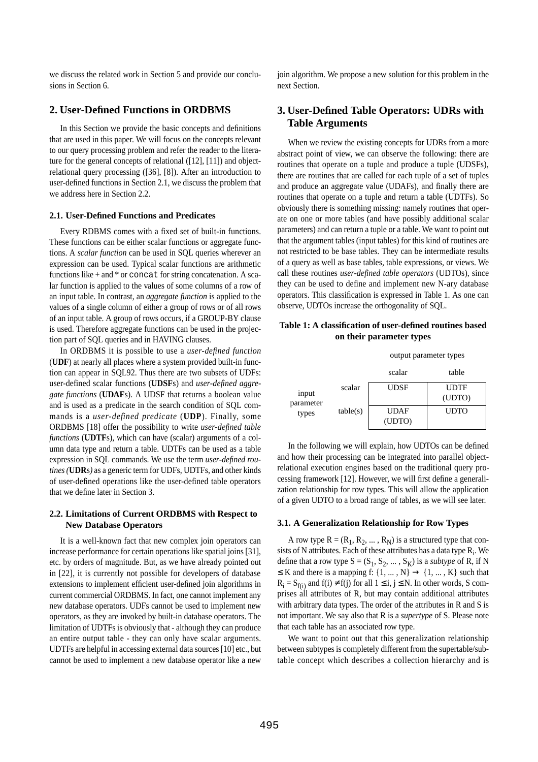we discuss the related work in Section 5 and provide our conclusions in Section 6.

# **2. User-Defined Functions in ORDBMS**

In this Section we provide the basic concepts and definitions that are used in this paper. We will focus on the concepts relevant to our query processing problem and refer the reader to the literature for the general concepts of relational ([\[12\],](#page-11-0) [\[11\]](#page-11-0)) and objectrelational query processing ([\[36\]](#page-11-0), [\[8\]](#page-11-0)). After an introduction to user-defined functions in Section 2.1, we discuss the problem that we address here in Section 2.2.

#### **2.1. User-Defined Functions and Predicates**

Every RDBMS comes with a fixed set of built-in functions. These functions can be either scalar functions or aggregate functions. A *scalar function* can be used in SQL queries wherever an expression can be used. Typical scalar functions are arithmetic functions like + and \* or concat for string concatenation. A scalar function is applied to the values of some columns of a row of an input table. In contrast, an *aggregate function* is applied to the values of a single column of either a group of rows or of all rows of an input table. A group of rows occurs, if a GROUP-BY clause is used. Therefore aggregate functions can be used in the projection part of SQL queries and in HAVING clauses.

In ORDBMS it is possible to use a *user-defined function* (**UDF**) at nearly all places where a system provided built-in function can appear in SQL92. Thus there are two subsets of UDFs: user-defined scalar functions (**UDSF**s) and *user-defined aggregate functions* (**UDAF**s). A UDSF that returns a boolean value and is used as a predicate in the search condition of SQL commands is a *user-defined predicate* (**UDP**). Finally, some ORDBMS [\[18\]](#page-11-0) offer the possibility to write *user-defined table functions* (**UDTF**s), which can have (scalar) arguments of a column data type and return a table. UDTFs can be used as a table expression in SQL commands. We use the term *user-defined routines (***UDR**s*)* as a generic term for UDFs, UDTFs, and other kinds of user-defined operations like the user-defined table operators that we define later in Section 3.

# **2.2. Limitations of Current ORDBMS with Respect to New Database Operators**

It is a well-known fact that new complex join operators can increase performance for certain operations like spatial joins [\[31\],](#page-11-0) etc. by orders of magnitude. But, as we have already pointed out in [\[22\]](#page-11-0), it is currently not possible for developers of database extensions to implement efficient user-defined join algorithms in current commercial ORDBMS. In fact, one cannot implement any new database operators. UDFs cannot be used to implement new operators, as they are invoked by built-in database operators. The limitation of UDTFs is obviously that - although they can produce an entire output table - they can only have scalar arguments. UDTFs are helpful in accessing external data sources [\[10\]](#page-11-0) etc., but cannot be used to implement a new database operator like a new

join algorithm. We propose a new solution for this problem in the next Section.

# **3. User-Defined Table Operators: UDRs with Table Arguments**

When we review the existing concepts for UDRs from a more abstract point of view, we can observe the following: there are routines that operate on a tuple and produce a tuple (UDSFs), there are routines that are called for each tuple of a set of tuples and produce an aggregate value (UDAFs), and finally there are routines that operate on a tuple and return a table (UDTFs). So obviously there is something missing: namely routines that operate on one or more tables (and have possibly additional scalar parameters) and can return a tuple or a table. We want to point out that the argument tables (input tables) for this kind of routines are not restricted to be base tables. They can be intermediate results of a query as well as base tables, table expressions, or views. We call these routines *user-defined table operators* (UDTOs), since they can be used to define and implement new N-ary database operators. This classification is expressed in Table 1. As one can observe, UDTOs increase the orthogonality of SQL.

# **Table 1: A classification of user-defined routines based on their parameter types**

|                             |          | output parameter types |                       |
|-----------------------------|----------|------------------------|-----------------------|
|                             |          | scalar                 | table                 |
| input<br>parameter<br>types | scalar   | <b>UDSF</b>            | <b>UDTF</b><br>(UDTO) |
|                             | table(s) | UDAF<br>(UDTO)         | <b>UDTO</b>           |

In the following we will explain, how UDTOs can be defined and how their processing can be integrated into parallel objectrelational execution engines based on the traditional query processing framework [\[12\]](#page-11-0). However, we will first define a generalization relationship for row types. This will allow the application of a given UDTO to a broad range of tables, as we will see later.

#### **3.1. A Generalization Relationship for Row Types**

A row type  $R = (R_1, R_2, ..., R_N)$  is a structured type that consists of N attributes. Each of these attributes has a data type  $R_i$ . We define that a row type  $S = (S_1, S_2, ..., S_K)$  is a *subtype* of R, if N  $\leq K$  and there is a mapping f: {1, ..., N}  $\rightarrow$  {1, ..., K} such that  $R_i = S_{f(i)}$  and  $f(i) \neq f(j)$  for all  $1 \leq i, j \leq N$ . In other words, S comprises all attributes of R, but may contain additional attributes with arbitrary data types. The order of the attributes in R and S is not important. We say also that R is a *supertype* of S. Please note that each table has an associated row type.

We want to point out that this generalization relationship between subtypes is completely different from the supertable/subtable concept which describes a collection hierarchy and is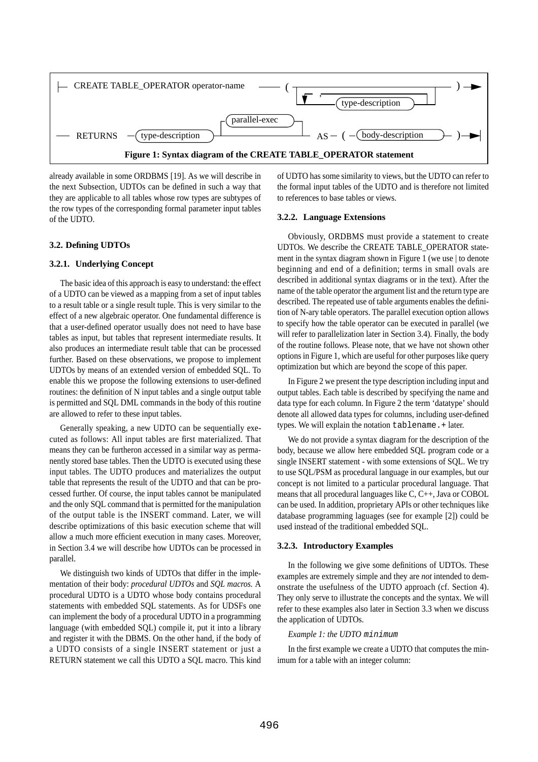

already available in some ORDBMS [\[19\]](#page-11-0). As we will describe in the next Subsection, UDTOs can be defined in such a way that they are applicable to all tables whose row types are subtypes of the row types of the corresponding formal parameter input tables of the UDTO.

# **3.2. Defining UDTOs**

# **3.2.1. Underlying Concept**

The basic idea of this approach is easy to understand: the effect of a UDTO can be viewed as a mapping from a set of input tables to a result table or a single result tuple. This is very similar to the effect of a new algebraic operator. One fundamental difference is that a user-defined operator usually does not need to have base tables as input, but tables that represent intermediate results. It also produces an intermediate result table that can be processed further. Based on these observations, we propose to implement UDTOs by means of an extended version of embedded SQL. To enable this we propose the following extensions to user-defined routines: the definition of N input tables and a single output table is permitted and SQL DML commands in the body of this routine are allowed to refer to these input tables.

Generally speaking, a new UDTO can be sequentially executed as follows: All input tables are first materialized. That means they can be furtheron accessed in a similar way as permanently stored base tables. Then the UDTO is executed using these input tables. The UDTO produces and materializes the output table that represents the result of the UDTO and that can be processed further. Of course, the input tables cannot be manipulated and the only SQL command that is permitted for the manipulation of the output table is the INSERT command. Later, we will describe optimizations of this basic execution scheme that will allow a much more efficient execution in many cases. Moreover, in Section 3.4 we will describe how UDTOs can be processed in parallel.

We distinguish two kinds of UDTOs that differ in the implementation of their body: *procedural UDTOs* and *SQL macros.* A procedural UDTO is a UDTO whose body contains procedural statements with embedded SQL statements. As for UDSFs one can implement the body of a procedural UDTO in a programming language (with embedded SQL) compile it, put it into a library and register it with the DBMS. On the other hand, if the body of a UDTO consists of a single INSERT statement or just a RETURN statement we call this UDTO a SQL macro. This kind

of UDTO has some similarity to views, but the UDTO can refer to the formal input tables of the UDTO and is therefore not limited to references to base tables or views.

# **3.2.2. Language Extensions**

Obviously, ORDBMS must provide a statement to create UDTOs. We describe the CREATE TABLE\_OPERATOR statement in the syntax diagram shown in Figure 1 (we use | to denote beginning and end of a definition; terms in small ovals are described in additional syntax diagrams or in the text). After the name of the table operator the argument list and the return type are described. The repeated use of table arguments enables the definition of N-ary table operators. The parallel execution option allows to specify how the table operator can be executed in parallel (we will refer to parallelization later in Section 3.4). Finally, the body of the routine follows. Please note, that we have not shown other options in Figure 1, which are useful for other purposes like query optimization but which are beyond the scope of this paper.

In [Figure 2](#page-3-0) we present the type description including input and output tables. Each table is described by specifying the name and data type for each column. In [Figure 2](#page-3-0) the term 'datatype' should denote all allowed data types for columns, including user-defined types. We will explain the notation tablename.+ later.

We do not provide a syntax diagram for the description of the body, because we allow here embedded SQL program code or a single INSERT statement - with some extensions of SQL. We try to use SQL/PSM as procedural language in our examples, but our concept is not limited to a particular procedural language. That means that all procedural languages like C, C++, Java or COBOL can be used. In addition, proprietary APIs or other techniques like database programming laguages (see for example [\[2\]](#page-10-0)) could be used instead of the traditional embedded SQL.

# **3.2.3. Introductory Examples**

In the following we give some definitions of UDTOs. These examples are extremely simple and they are *not* intended to demonstrate the usefulness of the UDTO approach (cf. Section 4). They only serve to illustrate the concepts and the syntax. We will refer to these examples also later in Section 3.3 when we discuss the application of UDTOs.

#### *Example 1: the UDTO* minimum

In the first example we create a UDTO that computes the minimum for a table with an integer column: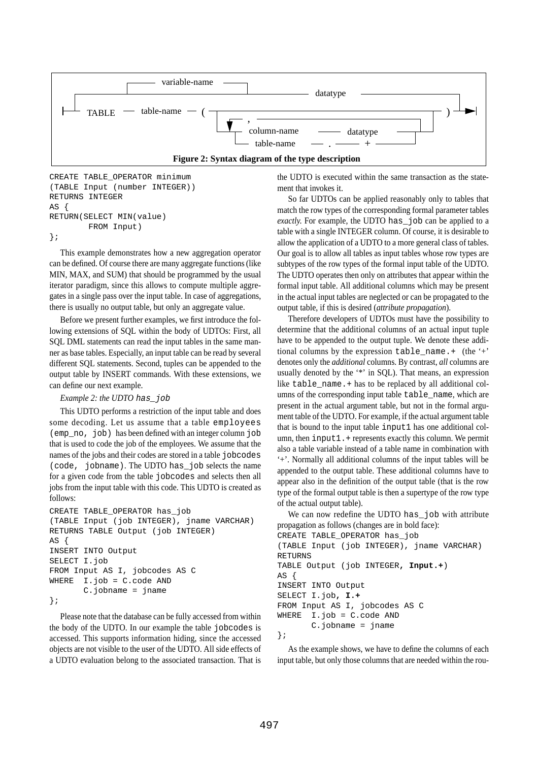<span id="page-3-0"></span>

```
CREATE TABLE_OPERATOR minimum
(TABLE Input (number INTEGER))
RETURNS INTEGER
AS {
RETURN(SELECT MIN(value)
        FROM Input)
};
```
This example demonstrates how a new aggregation operator can be defined. Of course there are many aggregate functions (like MIN, MAX, and SUM) that should be programmed by the usual iterator paradigm, since this allows to compute multiple aggregates in a single pass over the input table. In case of aggregations, there is usually no output table, but only an aggregate value.

Before we present further examples, we first introduce the following extensions of SQL within the body of UDTOs: First, all SQL DML statements can read the input tables in the same manner as base tables. Especially, an input table can be read by several different SQL statements. Second, tuples can be appended to the output table by INSERT commands. With these extensions, we can define our next example.

# *Example 2: the UDTO* has\_job

This UDTO performs a restriction of the input table and does some decoding. Let us assume that a table employees (emp\_no, job) has been defined with an integer column job that is used to code the job of the employees. We assume that the names of the jobs and their codes are stored in a table jobcodes (code, jobname). The UDTO has\_job selects the name for a given code from the table jobcodes and selects then all jobs from the input table with this code. This UDTO is created as follows:

```
CREATE TABLE_OPERATOR has_job
(TABLE Input (job INTEGER), jname VARCHAR)
RETURNS TABLE Output (job INTEGER)
AS {
INSERT INTO Output
SELECT I.job
FROM Input AS I, jobcodes AS C
WHERE I.job = C.code AND
       C.jobname = jname
};
```
Please note that the database can be fully accessed from within the body of the UDTO. In our example the table jobcodes is accessed. This supports information hiding, since the accessed objects are not visible to the user of the UDTO. All side effects of a UDTO evaluation belong to the associated transaction. That is

the UDTO is executed within the same transaction as the statement that invokes it.

So far UDTOs can be applied reasonably only to tables that match the row types of the corresponding formal parameter tables *exactly*. For example, the UDTO has\_job can be applied to a table with a single INTEGER column. Of course, it is desirable to allow the application of a UDTO to a more general class of tables. Our goal is to allow all tables as input tables whose row types are subtypes of the row types of the formal input table of the UDTO. The UDTO operates then only on attributes that appear within the formal input table. All additional columns which may be present in the actual input tables are neglected or can be propagated to the output table, if this is desired (*attribute propagation*).

Therefore developers of UDTOs must have the possibility to determine that the additional columns of an actual input tuple have to be appended to the output tuple. We denote these additional columns by the expression table\_name.+ (the '+' denotes only the *additional* columns. By contrast, *all* columns are usually denoted by the '\*' in SQL). That means, an expression like table\_name.+ has to be replaced by all additional columns of the corresponding input table table\_name, which are present in the actual argument table, but not in the formal argument table of the UDTO. For example, if the actual argument table that is bound to the input table input 1 has one additional column, then  $input1$ . + represents exactly this column. We permit also a table variable instead of a table name in combination with '+'. Normally all additional columns of the input tables will be appended to the output table. These additional columns have to appear also in the definition of the output table (that is the row type of the formal output table is then a supertype of the row type of the actual output table).

We can now redefine the UDTO has job with attribute propagation as follows (changes are in bold face): CREATE TABLE\_OPERATOR has\_job (TABLE Input (job INTEGER), jname VARCHAR) RETURNS TABLE Output (job INTEGER**, Input.+**) AS { INSERT INTO Output SELECT I.job**, I.+** FROM Input AS I, jobcodes AS C WHERE I.job = C.code AND C.jobname = jname };

As the example shows, we have to define the columns of each input table, but only those columns that are needed within the rou-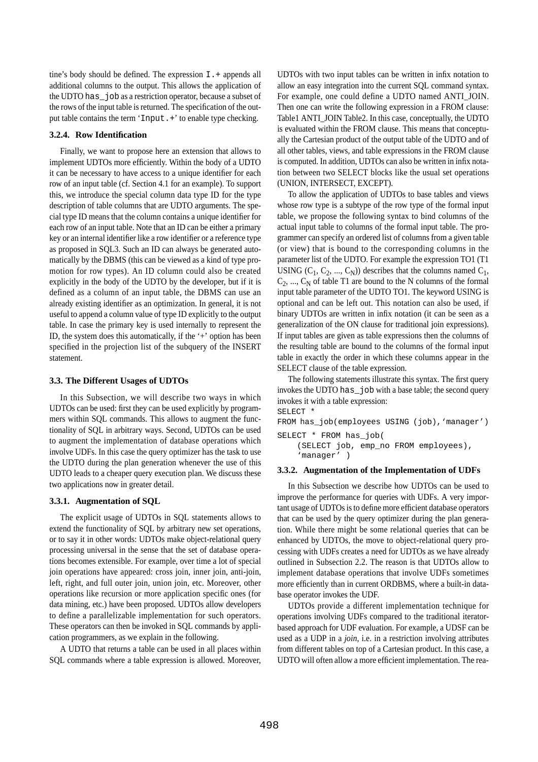tine's body should be defined. The expression I.+ appends all additional columns to the output. This allows the application of the UDTO has\_job as a restriction operator, because a subset of the rows of the input table is returned. The specification of the output table contains the term 'Input.+' to enable type checking.

#### **3.2.4. Row Identification**

Finally, we want to propose here an extension that allows to implement UDTOs more efficiently. Within the body of a UDTO it can be necessary to have access to a unique identifier for each row of an input table (cf. Section 4.1 for an example). To support this, we introduce the special column data type ID for the type description of table columns that are UDTO arguments. The special type ID means that the column contains a unique identifier for each row of an input table. Note that an ID can be either a primary key or an internal identifier like a row identifier or a reference type as proposed in SQL3. Such an ID can always be generated automatically by the DBMS (this can be viewed as a kind of type promotion for row types). An ID column could also be created explicitly in the body of the UDTO by the developer, but if it is defined as a column of an input table, the DBMS can use an already existing identifier as an optimization. In general, it is not useful to append a column value of type ID explicitly to the output table. In case the primary key is used internally to represent the ID, the system does this automatically, if the '+' option has been specified in the projection list of the subquery of the INSERT statement.

## **3.3. The Different Usages of UDTOs**

In this Subsection, we will describe two ways in which UDTOs can be used: first they can be used explicitly by programmers within SQL commands. This allows to augment the functionality of SQL in arbitrary ways. Second, UDTOs can be used to augment the implementation of database operations which involve UDFs. In this case the query optimizer has the task to use the UDTO during the plan generation whenever the use of this UDTO leads to a cheaper query execution plan. We discuss these two applications now in greater detail.

# **3.3.1. Augmentation of SQL**

The explicit usage of UDTOs in SQL statements allows to extend the functionality of SQL by arbitrary new set operations, or to say it in other words: UDTOs make object-relational query processing universal in the sense that the set of database operations becomes extensible. For example, over time a lot of special join operations have appeared: cross join, inner join, anti-join, left, right, and full outer join, union join, etc. Moreover, other operations like recursion or more application specific ones (for data mining, etc.) have been proposed. UDTOs allow developers to define a parallelizable implementation for such operators. These operators can then be invoked in SQL commands by application programmers, as we explain in the following.

A UDTO that returns a table can be used in all places within SQL commands where a table expression is allowed. Moreover,

UDTOs with two input tables can be written in infix notation to allow an easy integration into the current SQL command syntax. For example, one could define a UDTO named ANTI\_JOIN. Then one can write the following expression in a FROM clause: Table1 ANTI\_JOIN Table2. In this case, conceptually, the UDTO is evaluated within the FROM clause. This means that conceptually the Cartesian product of the output table of the UDTO and of all other tables, views, and table expressions in the FROM clause is computed. In addition, UDTOs can also be written in infix notation between two SELECT blocks like the usual set operations (UNION, INTERSECT, EXCEPT).

To allow the application of UDTOs to base tables and views whose row type is a subtype of the row type of the formal input table, we propose the following syntax to bind columns of the actual input table to columns of the formal input table. The programmer can specify an ordered list of columns from a given table (or view) that is bound to the corresponding columns in the parameter list of the UDTO. For example the expression TO1 (T1 USING  $(C_1, C_2, ..., C_N)$  describes that the columns named  $C_1$ ,  $C_2$ , ...,  $C_N$  of table T1 are bound to the N columns of the formal input table parameter of the UDTO TO1. The keyword USING is optional and can be left out. This notation can also be used, if binary UDTOs are written in infix notation (it can be seen as a generalization of the ON clause for traditional join expressions). If input tables are given as table expressions then the columns of the resulting table are bound to the columns of the formal input table in exactly the order in which these columns appear in the SELECT clause of the table expression.

The following statements illustrate this syntax. The first query invokes the UDTO has\_job with a base table; the second query invokes it with a table expression: SELECT \*

FROM has\_job(employees USING (job),'manager')

SELECT \* FROM has\_job(

```
(SELECT job, emp_no FROM employees),
'manager' )
```
#### **3.3.2. Augmentation of the Implementation of UDFs**

In this Subsection we describe how UDTOs can be used to improve the performance for queries with UDFs. A very important usage of UDTOs is to define more efficient database operators that can be used by the query optimizer during the plan generation. While there might be some relational queries that can be enhanced by UDTOs, the move to object-relational query processing with UDFs creates a need for UDTOs as we have already outlined in Subsection 2.2. The reason is that UDTOs allow to implement database operations that involve UDFs sometimes more efficiently than in current ORDBMS, where a built-in database operator invokes the UDF.

UDTOs provide a different implementation technique for operations involving UDFs compared to the traditional iteratorbased approach for UDF evaluation. For example, a UDSF can be used as a UDP in a *join*, i.e. in a restriction involving attributes from different tables on top of a Cartesian product. In this case, a UDTO will often allow a more efficient implementation. The rea-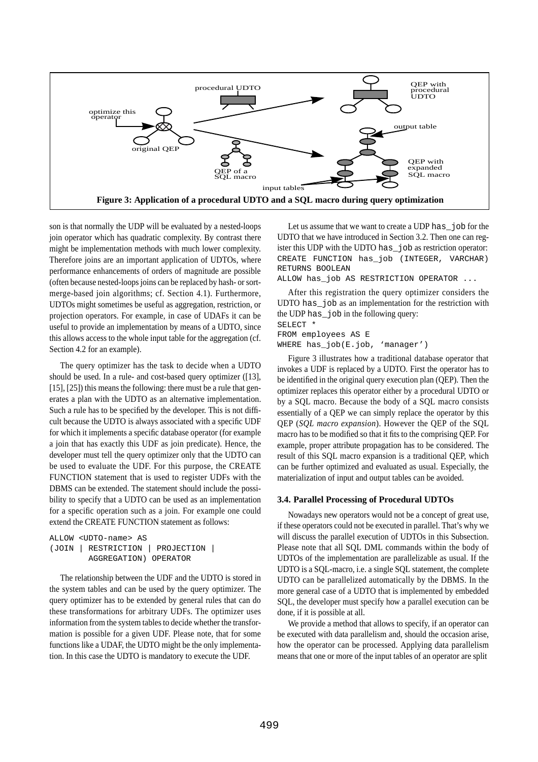

son is that normally the UDP will be evaluated by a nested-loops join operator which has quadratic complexity. By contrast there might be implementation methods with much lower complexity. Therefore joins are an important application of UDTOs, where performance enhancements of orders of magnitude are possible (often because nested-loops joins can be replaced by hash- or sortmerge-based join algorithms; cf. Section 4.1). Furthermore, UDTOs might sometimes be useful as aggregation, restriction, or projection operators. For example, in case of UDAFs it can be useful to provide an implementation by means of a UDTO, since this allows access to the whole input table for the aggregation (cf. Section 4.2 for an example).

The query optimizer has the task to decide when a UDTO should be used. In a rule- and cost-based query optimizer ([\[13\],](#page-11-0) [\[15\]](#page-11-0), [\[25\]](#page-11-0)) this means the following: there must be a rule that generates a plan with the UDTO as an alternative implementation. Such a rule has to be specified by the developer. This is not difficult because the UDTO is always associated with a specific UDF for which it implements a specific database operator (for example a join that has exactly this UDF as join predicate). Hence, the developer must tell the query optimizer only that the UDTO can be used to evaluate the UDF. For this purpose, the CREATE FUNCTION statement that is used to register UDFs with the DBMS can be extended. The statement should include the possibility to specify that a UDTO can be used as an implementation for a specific operation such as a join. For example one could extend the CREATE FUNCTION statement as follows:

```
ALLOW <UDTO-name> AS
(JOIN | RESTRICTION | PROJECTION |
        AGGREGATION) OPERATOR
```
The relationship between the UDF and the UDTO is stored in the system tables and can be used by the query optimizer. The query optimizer has to be extended by general rules that can do these transformations for arbitrary UDFs. The optimizer uses information from the system tables to decide whether the transformation is possible for a given UDF. Please note, that for some functions like a UDAF, the UDTO might be the only implementation. In this case the UDTO is mandatory to execute the UDF.

Let us assume that we want to create a UDP has\_job for the UDTO that we have introduced in Section 3.2. Then one can register this UDP with the UDTO has\_job as restriction operator: CREATE FUNCTION has\_job (INTEGER, VARCHAR) RETURNS BOOLEAN

ALLOW has\_job AS RESTRICTION OPERATOR ...

After this registration the query optimizer considers the UDTO has\_job as an implementation for the restriction with the UDP has\_job in the following query:

SELECT \* FROM employees AS E

WHERE has\_job(E.job, 'manager')

Figure 3 illustrates how a traditional database operator that invokes a UDF is replaced by a UDTO. First the operator has to be identified in the original query execution plan (QEP). Then the optimizer replaces this operator either by a procedural UDTO or by a SQL macro. Because the body of a SQL macro consists essentially of a QEP we can simply replace the operator by this QEP (*SQL macro expansion*). However the QEP of the SQL macro has to be modified so that it fits to the comprising QEP. For example, proper attribute propagation has to be considered. The result of this SQL macro expansion is a traditional QEP, which can be further optimized and evaluated as usual. Especially, the materialization of input and output tables can be avoided.

# **3.4. Parallel Processing of Procedural UDTOs**

Nowadays new operators would not be a concept of great use, if these operators could not be executed in parallel. That's why we will discuss the parallel execution of UDTOs in this Subsection. Please note that all SQL DML commands within the body of UDTOs of the implementation are parallelizable as usual. If the UDTO is a SQL-macro, i.e. a single SQL statement, the complete UDTO can be parallelized automatically by the DBMS. In the more general case of a UDTO that is implemented by embedded SQL, the developer must specify how a parallel execution can be done, if it is possible at all.

We provide a method that allows to specify, if an operator can be executed with data parallelism and, should the occasion arise, how the operator can be processed. Applying data parallelism means that one or more of the input tables of an operator are split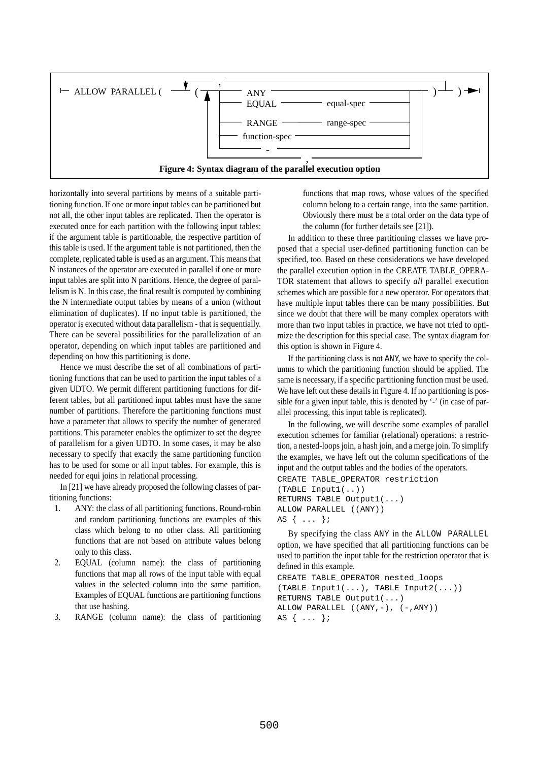

horizontally into several partitions by means of a suitable partitioning function. If one or more input tables can be partitioned but not all, the other input tables are replicated. Then the operator is executed once for each partition with the following input tables: if the argument table is partitionable, the respective partition of this table is used. If the argument table is not partitioned, then the complete, replicated table is used as an argument. This means that N instances of the operator are executed in parallel if one or more input tables are split into N partitions. Hence, the degree of parallelism is N. In this case, the final result is computed by combining the N intermediate output tables by means of a union (without elimination of duplicates). If no input table is partitioned, the operator is executed without data parallelism - that is sequentially. There can be several possibilities for the parallelization of an operator, depending on which input tables are partitioned and depending on how this partitioning is done.

Hence we must describe the set of all combinations of partitioning functions that can be used to partition the input tables of a given UDTO. We permit different partitioning functions for different tables, but all partitioned input tables must have the same number of partitions. Therefore the partitioning functions must have a parameter that allows to specify the number of generated partitions. This parameter enables the optimizer to set the degree of parallelism for a given UDTO. In some cases, it may be also necessary to specify that exactly the same partitioning function has to be used for some or all input tables. For example, this is needed for equi joins in relational processing.

In [\[21\]](#page-11-0) we have already proposed the following classes of partitioning functions:

- 1. ANY: the class of all partitioning functions. Round-robin and random partitioning functions are examples of this class which belong to no other class. All partitioning functions that are not based on attribute values belong only to this class.
- 2. EQUAL (column name): the class of partitioning functions that map all rows of the input table with equal values in the selected column into the same partition. Examples of EQUAL functions are partitioning functions that use hashing.
- 3. RANGE (column name): the class of partitioning

functions that map rows, whose values of the specified column belong to a certain range, into the same partition. Obviously there must be a total order on the data type of the column (for further details see [\[21\]](#page-11-0)).

In addition to these three partitioning classes we have proposed that a special user-defined partitioning function can be specified, too. Based on these considerations we have developed the parallel execution option in the CREATE TABLE\_OPERA-TOR statement that allows to specify *all* parallel execution schemes which are possible for a new operator. For operators that have multiple input tables there can be many possibilities. But since we doubt that there will be many complex operators with more than two input tables in practice, we have not tried to optimize the description for this special case. The syntax diagram for this option is shown in Figure 4.

If the partitioning class is not ANY, we have to specify the columns to which the partitioning function should be applied. The same is necessary, if a specific partitioning function must be used. We have left out these details in Figure 4. If no partitioning is possible for a given input table, this is denoted by  $\cdot$  ' (in case of parallel processing, this input table is replicated).

In the following, we will describe some examples of parallel execution schemes for familiar (relational) operations: a restriction, a nested-loops join, a hash join, and a merge join. To simplify the examples, we have left out the column specifications of the input and the output tables and the bodies of the operators.

```
CREATE TABLE_OPERATOR restriction
(TABLE Input1(..))
RETURNS TABLE Output1(...)
ALLOW PARALLEL ((ANY))
AS { ... };
```
By specifying the class ANY in the ALLOW PARALLEL option, we have specified that all partitioning functions can be used to partition the input table for the restriction operator that is defined in this example.

```
CREATE TABLE_OPERATOR nested_loops
(TABLE Input1(...), TABLE Input2(...))
RETURNS TABLE Output1(...)
ALLOW PARALLEL ((ANY, -), (-, ANY))AS { ... };
```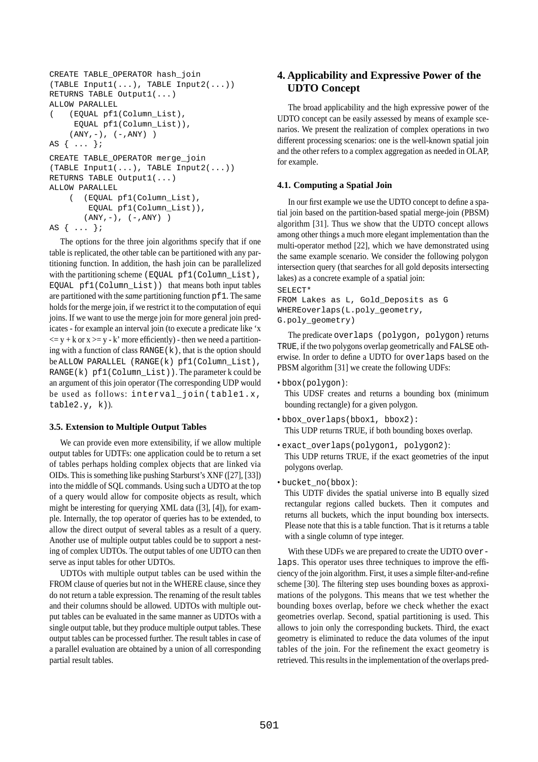```
CREATE TABLE_OPERATOR hash_join
(TABLE Input1(...), TABLE Input2(...))
RETURNS TABLE Output1(...)
ALLOW PARALLEL
( (EQUAL pf1(Column_List),
     EQUAL pf1(Column_List)),
    (ANY, -), (-, ANY) )AS { ... };
CREATE TABLE_OPERATOR merge_join
(TABLE Input1(...), TABLE Input2(...))
RETURNS TABLE Output1(...)
ALLOW PARALLEL
    ( (EQUAL pf1(Column_List),
        EQUAL pf1(Column_List)),
       (ANY, -), (-, ANY) )AS { ... };
```
The options for the three join algorithms specify that if one table is replicated, the other table can be partitioned with any partitioning function. In addition, the hash join can be parallelized with the partitioning scheme (EQUAL pf1(Column\_List), EQUAL pf1(Column\_List)) that means both input tables are partitioned with the *same* partitioning function pf1. The same holds for the merge join, if we restrict it to the computation of equi joins. If we want to use the merge join for more general join predicates - for example an interval join (to execute a predicate like 'x  $\langle y + k \text{ or } x \rangle = y - k'$  more efficiently) - then we need a partitioning with a function of class RANGE(k), that is the option should be ALLOW PARALLEL (RANGE(k) pf1(Column\_List),  $RANGE(k)$  pf1(Column List)). The parameter k could be an argument of this join operator (The corresponding UDP would be used as follows: interval\_join(table1.x,  $table2.y, k$ ).

# **3.5. Extension to Multiple Output Tables**

We can provide even more extensibility, if we allow multiple output tables for UDTFs: one application could be to return a set of tables perhaps holding complex objects that are linked via OIDs. This is something like pushing Starburst's XNF ([\[27\],](#page-11-0) [\[33\]\)](#page-11-0) into the middle of SQL commands. Using such a UDTO at the top of a query would allow for composite objects as result, which might be interesting for querying XML data ([\[3\],](#page-11-0) [\[4\]\)](#page-11-0), for example. Internally, the top operator of queries has to be extended, to allow the direct output of several tables as a result of a query. Another use of multiple output tables could be to support a nesting of complex UDTOs. The output tables of one UDTO can then serve as input tables for other UDTOs.

UDTOs with multiple output tables can be used within the FROM clause of queries but not in the WHERE clause, since they do not return a table expression. The renaming of the result tables and their columns should be allowed. UDTOs with multiple output tables can be evaluated in the same manner as UDTOs with a single output table, but they produce multiple output tables. These output tables can be processed further. The result tables in case of a parallel evaluation are obtained by a union of all corresponding partial result tables.

# **4. Applicability and Expressive Power of the UDTO Concept**

The broad applicability and the high expressive power of the UDTO concept can be easily assessed by means of example scenarios. We present the realization of complex operations in two different processing scenarios: one is the well-known spatial join and the other refers to a complex aggregation as needed in OLAP, for example.

## **4.1. Computing a Spatial Join**

In our first example we use the UDTO concept to define a spatial join based on the partition-based spatial merge-join (PBSM) algorithm [\[31\]](#page-11-0). Thus we show that the UDTO concept allows among other things a much more elegant implementation than the multi-operator method [\[22\]](#page-11-0), which we have demonstrated using the same example scenario. We consider the following polygon intersection query (that searches for all gold deposits intersecting lakes) as a concrete example of a spatial join: SELECT\*

```
FROM Lakes as L, Gold_Deposits as G
WHEREoverlaps(L.poly_geometry,
G.poly_geometry)
```
The predicate overlaps (polygon, polygon) returns TRUE, if the two polygons overlap geometrically and FALSE otherwise. In order to define a UDTO for overlaps based on the PBSM algorithm [\[31\]](#page-11-0) we create the following UDFs:

• bbox(polygon):

This UDSF creates and returns a bounding box (minimum bounding rectangle) for a given polygon.

- bbox\_overlaps(bbox1, bbox2): This UDP returns TRUE, if both bounding boxes overlap.
- exact\_overlaps(polygon1, polygon2): This UDP returns TRUE, if the exact geometries of the input polygons overlap.
- bucket\_no(bbox):

This UDTF divides the spatial universe into B equally sized rectangular regions called buckets. Then it computes and returns all buckets, which the input bounding box intersects. Please note that this is a table function. That is it returns a table with a single column of type integer.

With these UDFs we are prepared to create the UDTO overlaps. This operator uses three techniques to improve the efficiency of the join algorithm. First, it uses a simple filter-and-refine scheme [\[30\]](#page-11-0). The filtering step uses bounding boxes as approximations of the polygons. This means that we test whether the bounding boxes overlap, before we check whether the exact geometries overlap. Second, spatial partitioning is used. This allows to join only the corresponding buckets. Third, the exact geometry is eliminated to reduce the data volumes of the input tables of the join. For the refinement the exact geometry is retrieved. This results in the implementation of the overlaps pred-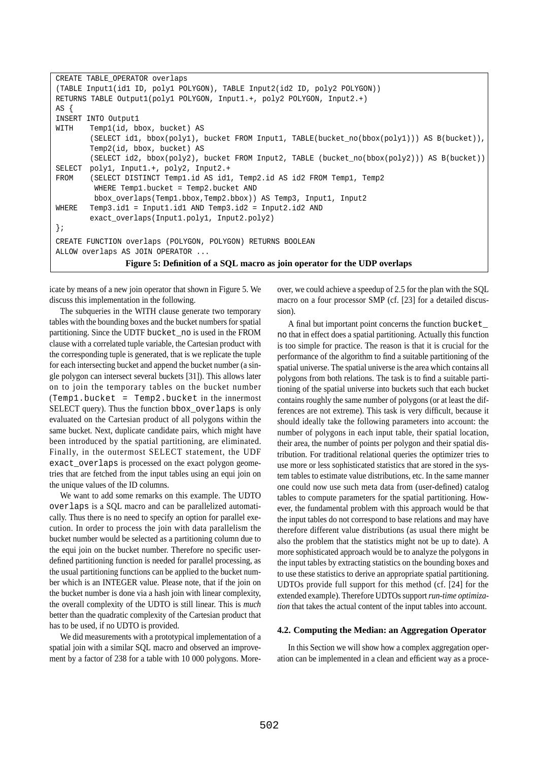```
CREATE TABLE_OPERATOR overlaps
(TABLE Input1(id1 ID, poly1 POLYGON), TABLE Input2(id2 ID, poly2 POLYGON))
RETURNS TABLE Output1(poly1 POLYGON, Input1.+, poly2 POLYGON, Input2.+)
AS {
INSERT INTO Output1
WITH Temp1(id, bbox, bucket) AS
        (SELECT id1, bbox(poly1), bucket FROM Input1, TABLE(bucket_no(bbox(poly1))) AS B(bucket)),
       Temp2(id, bbox, bucket) AS
        (SELECT id2, bbox(poly2), bucket FROM Input2, TABLE (bucket_no(bbox(poly2))) AS B(bucket))
SELECT poly1, Input1.+, poly2, Input2.+
FROM (SELECT DISTINCT Temp1.id AS id1, Temp2.id AS id2 FROM Temp1, Temp2
        WHERE Temp1.bucket = Temp2.bucket AND
        bbox_overlaps(Temp1.bbox,Temp2.bbox)) AS Temp3, Input1, Input2
WHERE Temp3.id1 = Input1.id1 AND Temp3.id2 = Input2.id2 AND
       exact_overlaps(Input1.poly1, Input2.poly2)
};
CREATE FUNCTION overlaps (POLYGON, POLYGON) RETURNS BOOLEAN
ALLOW overlaps AS JOIN OPERATOR ...
                Figure 5: Definition of a SQL macro as join operator for the UDP overlaps
```
icate by means of a new join operator that shown in Figure 5. We discuss this implementation in the following.

The subqueries in the WITH clause generate two temporary tables with the bounding boxes and the bucket numbers for spatial partitioning. Since the UDTF bucket\_no is used in the FROM clause with a correlated tuple variable, the Cartesian product with the corresponding tuple is generated, that is we replicate the tuple for each intersecting bucket and append the bucket number (a single polygon can intersect several buckets [\[31\]](#page-11-0)). This allows later on to join the temporary tables on the bucket number (Temp1.bucket = Temp2.bucket in the innermost SELECT query). Thus the function bbox\_overlaps is only evaluated on the Cartesian product of all polygons within the same bucket. Next, duplicate candidate pairs, which might have been introduced by the spatial partitioning, are eliminated. Finally, in the outermost SELECT statement, the UDF exact\_overlaps is processed on the exact polygon geometries that are fetched from the input tables using an equi join on the unique values of the ID columns.

We want to add some remarks on this example. The UDTO overlaps is a SQL macro and can be parallelized automatically. Thus there is no need to specify an option for parallel execution. In order to process the join with data parallelism the bucket number would be selected as a partitioning column due to the equi join on the bucket number. Therefore no specific userdefined partitioning function is needed for parallel processing, as the usual partitioning functions can be applied to the bucket number which is an INTEGER value. Please note, that if the join on the bucket number is done via a hash join with linear complexity, the overall complexity of the UDTO is still linear. This is *much* better than the quadratic complexity of the Cartesian product that has to be used, if no UDTO is provided.

We did measurements with a prototypical implementation of a spatial join with a similar SQL macro and observed an improvement by a factor of 238 for a table with 10 000 polygons. Moreover, we could achieve a speedup of 2.5 for the plan with the SQL macro on a four processor SMP (cf. [\[23\]](#page-11-0) for a detailed discussion).

A final but important point concerns the function bucket\_ no that in effect does a spatial partitioning. Actually this function is too simple for practice. The reason is that it is crucial for the performance of the algorithm to find a suitable partitioning of the spatial universe. The spatial universe is the area which contains all polygons from both relations. The task is to find a suitable partitioning of the spatial universe into buckets such that each bucket contains roughly the same number of polygons (or at least the differences are not extreme). This task is very difficult, because it should ideally take the following parameters into account: the number of polygons in each input table, their spatial location, their area, the number of points per polygon and their spatial distribution. For traditional relational queries the optimizer tries to use more or less sophisticated statistics that are stored in the system tables to estimate value distributions, etc. In the same manner one could now use such meta data from (user-defined) catalog tables to compute parameters for the spatial partitioning. However, the fundamental problem with this approach would be that the input tables do not correspond to base relations and may have therefore different value distributions (as usual there might be also the problem that the statistics might not be up to date). A more sophisticated approach would be to analyze the polygons in the input tables by extracting statistics on the bounding boxes and to use these statistics to derive an appropriate spatial partitioning. UDTOs provide full support for this method (cf. [\[24\]](#page-11-0) for the extended example). Therefore UDTOs support*run-time optimization* that takes the actual content of the input tables into account.

#### **4.2. Computing the Median: an Aggregation Operator**

In this Section we will show how a complex aggregation operation can be implemented in a clean and efficient way as a proce-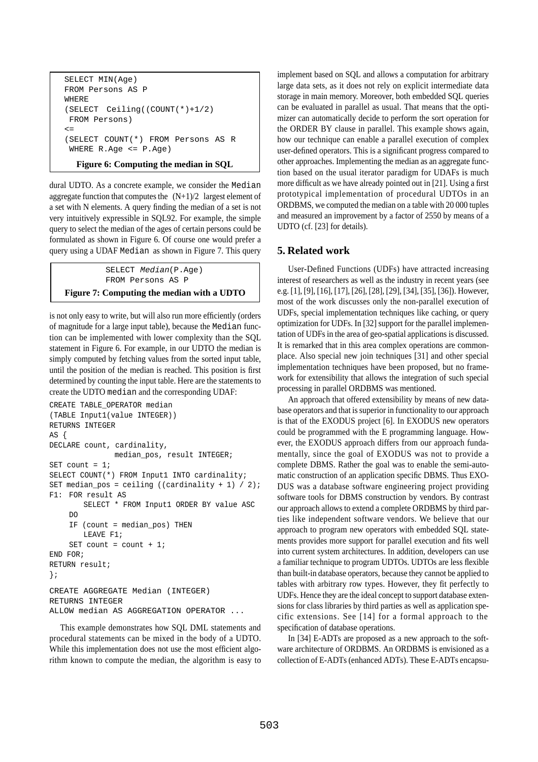```
SELECT MIN(Age)
FROM Persons AS P
WHERE
(SELECT Ceiling((COUNT(*)+1/2)
FROM Persons)
\lt =
(SELECT COUNT(*) FROM Persons AS R
WHERE R.Age <= P.Age)
```
**Figure 6: Computing the median in SQL**

dural UDTO. As a concrete example, we consider the Median aggregate function that computes the  $(N+1)/2$  largest element of a set with N elements. A query finding the median of a set is not very intuitively expressible in SQL92. For example, the simple query to select the median of the ages of certain persons could be formulated as shown in Figure 6. Of course one would prefer a query using a UDAF Median as shown in Figure 7. This query

SELECT Median(P.Age) FROM Persons AS P **Figure 7: Computing the median with a UDTO**

is not only easy to write, but will also run more efficiently (orders of magnitude for a large input table), because the Median function can be implemented with lower complexity than the SQL statement in Figure 6. For example, in our UDTO the median is simply computed by fetching values from the sorted input table, until the position of the median is reached. This position is first determined by counting the input table. Here are the statements to create the UDTO median and the corresponding UDAF:

```
CREATE TABLE_OPERATOR median
(TABLE Input1(value INTEGER))
RETURNS INTEGER
AS {
DECLARE count, cardinality,
              median_pos, result INTEGER;
SET count = 1;
SELECT COUNT(*) FROM Input1 INTO cardinality;
SET median_pos = ceiling ((cardinality + 1) / 2);
F1: FOR result AS
        SELECT * FROM Input1 ORDER BY value ASC
    DO
    IF (count = median_pos) THEN
       LEAVE F1;
    SET count = count + 1;
END FOR;
RETURN result;
};
CREATE AGGREGATE Median (INTEGER)
RETURNS INTEGER
ALLOW median AS AGGREGATION OPERATOR ...
```
This example demonstrates how SQL DML statements and procedural statements can be mixed in the body of a UDTO. While this implementation does not use the most efficient algorithm known to compute the median, the algorithm is easy to

implement based on SQL and allows a computation for arbitrary large data sets, as it does not rely on explicit intermediate data storage in main memory. Moreover, both embedded SQL queries can be evaluated in parallel as usual. That means that the optimizer can automatically decide to perform the sort operation for the ORDER BY clause in parallel. This example shows again, how our technique can enable a parallel execution of complex user-defined operators. This is a significant progress compared to other approaches. Implementing the median as an aggregate function based on the usual iterator paradigm for UDAFs is much more difficult as we have already pointed out in [\[21\]](#page-11-0). Using a first prototypical implementation of procedural UDTOs in an ORDBMS, we computed the median on a table with 20 000 tuples and measured an improvement by a factor of 2550 by means of a UDTO (cf. [\[23](#page-11-0)] for details).

# **5. Related work**

User-Defined Functions (UDFs) have attracted increasing interest of researchers as well as the industry in recent years (see e.g. [\[1\],](#page-10-0) [\[9\],](#page-11-0) [\[16\],](#page-11-0) [\[17\],](#page-11-0) [\[26\],](#page-11-0) [\[28\],](#page-11-0) [\[29\]](#page-11-0), [\[34\]](#page-11-0), [\[35\]](#page-11-0), [\[36\]\)](#page-11-0). However, most of the work discusses only the non-parallel execution of UDFs, special implementation techniques like caching, or query optimization for UDFs. In [\[32\]](#page-11-0) support for the parallel implementation of UDFs in the area of geo-spatial applications is discussed. It is remarked that in this area complex operations are commonplace. Also special new join techniques [\[31\]](#page-11-0) and other special implementation techniques have been proposed, but no framework for extensibility that allows the integration of such special processing in parallel ORDBMS was mentioned.

An approach that offered extensibility by means of new database operators and that is superior in functionality to our approach is that of the EXODUS project [\[6\].](#page-11-0) In EXODUS new operators could be programmed with the E programming language. However, the EXODUS approach differs from our approach fundamentally, since the goal of EXODUS was not to provide a complete DBMS. Rather the goal was to enable the semi-automatic construction of an application specific DBMS. Thus EXO-DUS was a database software engineering project providing software tools for DBMS construction by vendors. By contrast our approach allows to extend a complete ORDBMS by third parties like independent software vendors. We believe that our approach to program new operators with embedded SQL statements provides more support for parallel execution and fits well into current system architectures. In addition, developers can use a familiar technique to program UDTOs. UDTOs are less flexible than built-in database operators, because they cannot be applied to tables with arbitrary row types. However, they fit perfectly to UDFs. Hence they are the ideal concept to support database extensions for class libraries by third parties as well as application specific extensions. See [\[14\]](#page-11-0) for a formal approach to the specification of database operations.

In [\[34\]](#page-11-0) E-ADTs are proposed as a new approach to the software architecture of ORDBMS. An ORDBMS is envisioned as a collection of E-ADTs (enhanced ADTs). These E-ADTs encapsu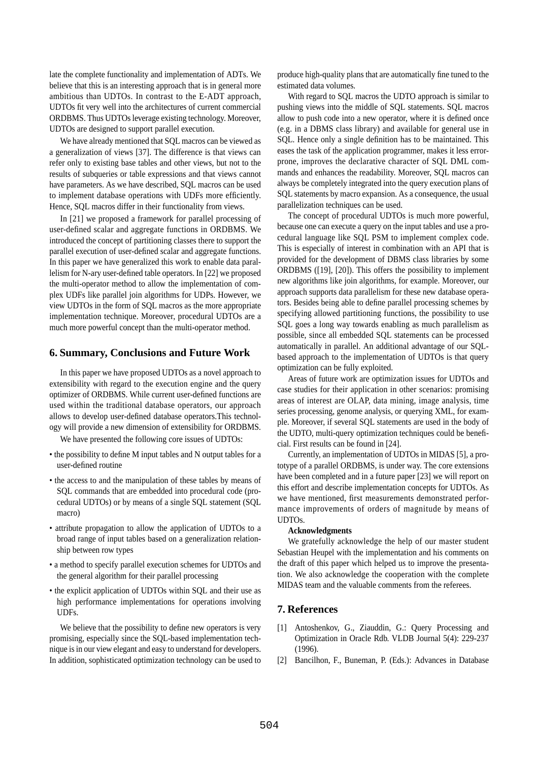<span id="page-10-0"></span>late the complete functionality and implementation of ADTs. We believe that this is an interesting approach that is in general more ambitious than UDTOs. In contrast to the E-ADT approach, UDTOs fit very well into the architectures of current commercial ORDBMS. Thus UDTOs leverage existing technology. Moreover, UDTOs are designed to support parallel execution.

We have already mentioned that SQL macros can be viewed as a generalization of views [\[37\]](#page-11-0). The difference is that views can refer only to existing base tables and other views, but not to the results of subqueries or table expressions and that views cannot have parameters. As we have described, SQL macros can be used to implement database operations with UDFs more efficiently. Hence, SQL macros differ in their functionality from views.

In [\[21\]](#page-11-0) we proposed a framework for parallel processing of user-defined scalar and aggregate functions in ORDBMS. We introduced the concept of partitioning classes there to support the parallel execution of user-defined scalar and aggregate functions. In this paper we have generalized this work to enable data parallelism for N-ary user-defined table operators. In [\[22\]](#page-11-0) we proposed the multi-operator method to allow the implementation of complex UDFs like parallel join algorithms for UDPs. However, we view UDTOs in the form of SQL macros as the more appropriate implementation technique. Moreover, procedural UDTOs are a much more powerful concept than the multi-operator method.

# **6. Summary, Conclusions and Future Work**

In this paper we have proposed UDTOs as a novel approach to extensibility with regard to the execution engine and the query optimizer of ORDBMS. While current user-defined functions are used within the traditional database operators, our approach allows to develop user-defined database operators.This technology will provide a new dimension of extensibility for ORDBMS.

We have presented the following core issues of UDTOs:

- the possibility to define M input tables and N output tables for a user-defined routine
- the access to and the manipulation of these tables by means of SQL commands that are embedded into procedural code (procedural UDTOs) or by means of a single SQL statement (SQL macro)
- attribute propagation to allow the application of UDTOs to a broad range of input tables based on a generalization relationship between row types
- a method to specify parallel execution schemes for UDTOs and the general algorithm for their parallel processing
- the explicit application of UDTOs within SQL and their use as high performance implementations for operations involving UDFs.

We believe that the possibility to define new operators is very promising, especially since the SQL-based implementation technique is in our view elegant and easy to understand for developers. In addition, sophisticated optimization technology can be used to produce high-quality plans that are automatically fine tuned to the estimated data volumes.

With regard to SQL macros the UDTO approach is similar to pushing views into the middle of SQL statements. SQL macros allow to push code into a new operator, where it is defined once (e.g. in a DBMS class library) and available for general use in SQL. Hence only a single definition has to be maintained. This eases the task of the application programmer, makes it less errorprone, improves the declarative character of SQL DML commands and enhances the readability. Moreover, SQL macros can always be completely integrated into the query execution plans of SQL statements by macro expansion. As a consequence, the usual parallelization techniques can be used.

The concept of procedural UDTOs is much more powerful, because one can execute a query on the input tables and use a procedural language like SQL PSM to implement complex code. This is especially of interest in combination with an API that is provided for the development of DBMS class libraries by some ORDBMS [\(\[19\]](#page-11-0), [\[20](#page-11-0)]). This offers the possibility to implement new algorithms like join algorithms, for example. Moreover, our approach supports data parallelism for these new database operators. Besides being able to define parallel processing schemes by specifying allowed partitioning functions, the possibility to use SQL goes a long way towards enabling as much parallelism as possible, since all embedded SQL statements can be processed automatically in parallel. An additional advantage of our SQLbased approach to the implementation of UDTOs is that query optimization can be fully exploited.

Areas of future work are optimization issues for UDTOs and case studies for their application in other scenarios: promising areas of interest are OLAP, data mining, image analysis, time series processing, genome analysis, or querying XML, for example. Moreover, if several SQL statements are used in the body of the UDTO, multi-query optimization techniques could be beneficial. First results can be found in [\[24\]](#page-11-0).

Currently, an implementation of UDTOs in MIDAS [\[5\],](#page-11-0) a prototype of a parallel ORDBMS, is under way. The core extensions have been completed and in a future paper [\[23\]](#page-11-0) we will report on this effort and describe implementation concepts for UDTOs. As we have mentioned, first measurements demonstrated performance improvements of orders of magnitude by means of UDTOs.

#### **Acknowledgments**

We gratefully acknowledge the help of our master student Sebastian Heupel with the implementation and his comments on the draft of this paper which helped us to improve the presentation. We also acknowledge the cooperation with the complete MIDAS team and the valuable comments from the referees.

# **7. References**

- [1] Antoshenkov, G., Ziauddin, G.: Query Processing and Optimization in Oracle Rdb. VLDB Journal 5(4): 229-237 (1996).
- [2] Bancilhon, F., Buneman, P. (Eds.): Advances in Database